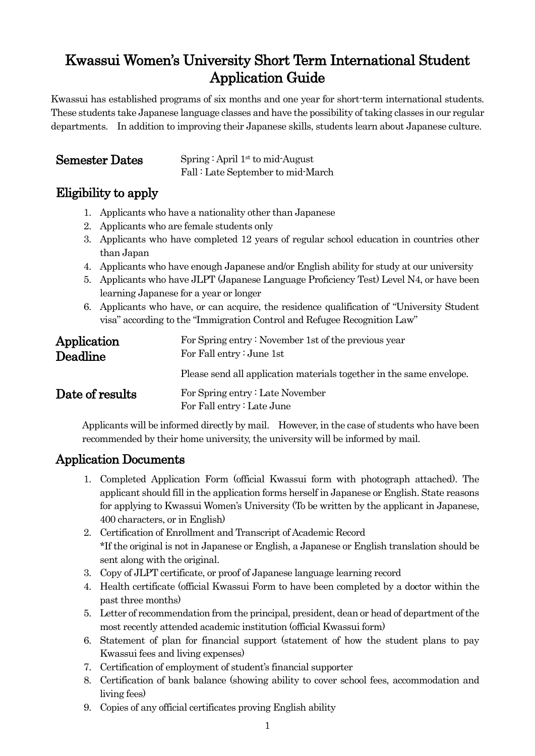# Kwassui Women's University Short Term International Student Application Guide

Kwassui has established programs of six months and one year for short-term international students. These students take Japanese language classes and have the possibility of taking classes in our regular departments. In addition to improving their Japanese skills, students learn about Japanese culture.

**Semester Dates** Spring : April 1<sup>st</sup> to mid-August Fall : Late September to mid-March

## Eligibility to apply

- 1. Applicants who have a nationality other than Japanese
- 2. Applicants who are female students only
- 3. Applicants who have completed 12 years of regular school education in countries other than Japan
- 4. Applicants who have enough Japanese and/or English ability for study at our university
- 5. Applicants who have JLPT (Japanese Language Proficiency Test) Level N4, or have been learning Japanese for a year or longer
- 6. Applicants who have, or can acquire, the residence qualification of "University Student visa" according to the "Immigration Control and Refugee Recognition Law"

| Application<br>Deadline | For Spring entry: November 1st of the previous year<br>For Fall entry: June 1st |
|-------------------------|---------------------------------------------------------------------------------|
|                         | Please send all application materials together in the same envelope.            |
| Date of results         | For Spring entry: Late November<br>For Fall entry: Late June                    |

Applicants will be informed directly by mail. However, in the case of students who have been recommended by their home university, the university will be informed by mail.

## Application Documents

- 1. Completed Application Form (official Kwassui form with photograph attached). The applicant should fill in the application forms herself in Japanese or English. State reasons for applying to Kwassui Women's University (To be written by the applicant in Japanese, 400 characters, or in English)
- 2. Certification of Enrollment and Transcript of Academic Record \*If the original is not in Japanese or English, a Japanese or English translation should be sent along with the original.
- 3. Copy of JLPT certificate, or proof of Japanese language learning record
- 4. Health certificate (official Kwassui Form to have been completed by a doctor within the past three months)
- 5. Letter of recommendation from the principal, president, dean or head of department of the most recently attended academic institution (official Kwassui form)
- 6. Statement of plan for financial support (statement of how the student plans to pay Kwassui fees and living expenses)
- 7. Certification of employment of student's financial supporter
- 8. Certification of bank balance (showing ability to cover school fees, accommodation and living fees)
- 9. Copies of any official certificates proving English ability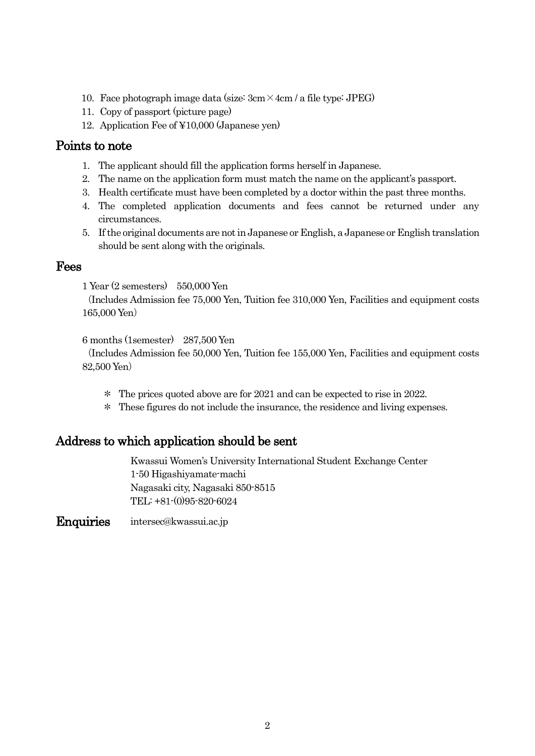- 10. Face photograph image data (size:  $3 \text{cm} \times 4 \text{cm}$  / a file type: JPEG)
- 11. Copy of passport (picture page)
- 12. Application Fee of ¥10,000 (Japanese yen)

#### Points to note

- 1. The applicant should fill the application forms herself in Japanese.
- 2. The name on the application form must match the name on the applicant's passport.
- 3. Health certificate must have been completed by a doctor within the past three months.
- 4. The completed application documents and fees cannot be returned under any circumstances.
- 5. If the original documents are not in Japanese or English, a Japanese or English translation should be sent along with the originals.

#### Fees

1 Year (2 semesters) 550,000 Yen

(Includes Admission fee 75,000 Yen, Tuition fee 310,000 Yen, Facilities and equipment costs 165,000 Yen)

6 months (1semester) 287,500 Yen

(Includes Admission fee 50,000 Yen, Tuition fee 155,000 Yen, Facilities and equipment costs 82,500 Yen)

- \* The prices quoted above are for 2021 and can be expected to rise in 2022.
- \* These figures do not include the insurance, the residence and living expenses.

### Address to which application should be sent

Kwassui Women's University International Student Exchange Center 1-50 Higashiyamate-machi Nagasaki city, Nagasaki 850-8515 TEL: +81-(0)95-820-6024

Enquiries intersec@kwassui.ac.jp